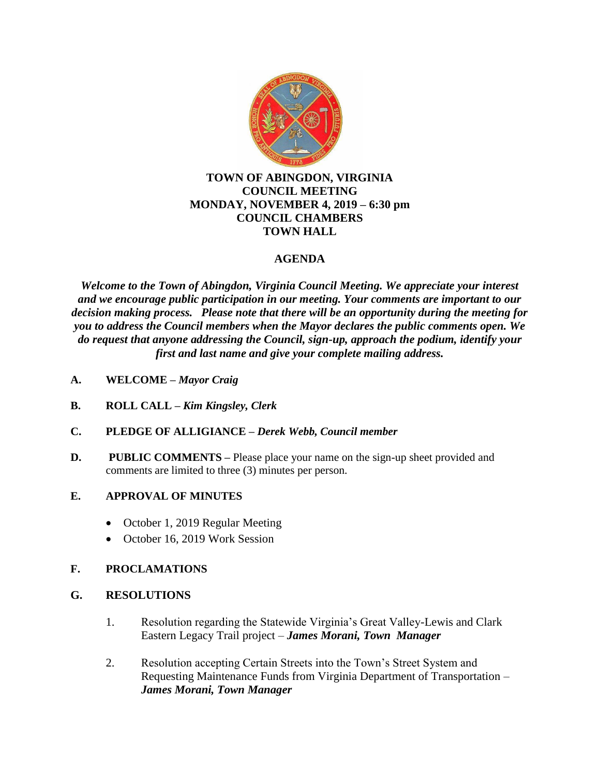

### **TOWN OF ABINGDON, VIRGINIA COUNCIL MEETING MONDAY, NOVEMBER 4, 2019 – 6:30 pm COUNCIL CHAMBERS TOWN HALL**

## **AGENDA**

*Welcome to the Town of Abingdon, Virginia Council Meeting. We appreciate your interest and we encourage public participation in our meeting. Your comments are important to our decision making process. Please note that there will be an opportunity during the meeting for you to address the Council members when the Mayor declares the public comments open. We do request that anyone addressing the Council, sign-up, approach the podium, identify your first and last name and give your complete mailing address.*

- **A. WELCOME –** *Mayor Craig*
- **B. ROLL CALL –** *Kim Kingsley, Clerk*
- **C. PLEDGE OF ALLIGIANCE –** *Derek Webb, Council member*
- **D.** PUBLIC COMMENTS Please place your name on the sign-up sheet provided and comments are limited to three (3) minutes per person.

### **E. APPROVAL OF MINUTES**

- October 1, 2019 Regular Meeting
- October 16, 2019 Work Session

### **F. PROCLAMATIONS**

### **G. RESOLUTIONS**

- 1. Resolution regarding the Statewide Virginia's Great Valley-Lewis and Clark Eastern Legacy Trail project – *James Morani, Town Manager*
- 2. Resolution accepting Certain Streets into the Town's Street System and Requesting Maintenance Funds from Virginia Department of Transportation – *James Morani, Town Manager*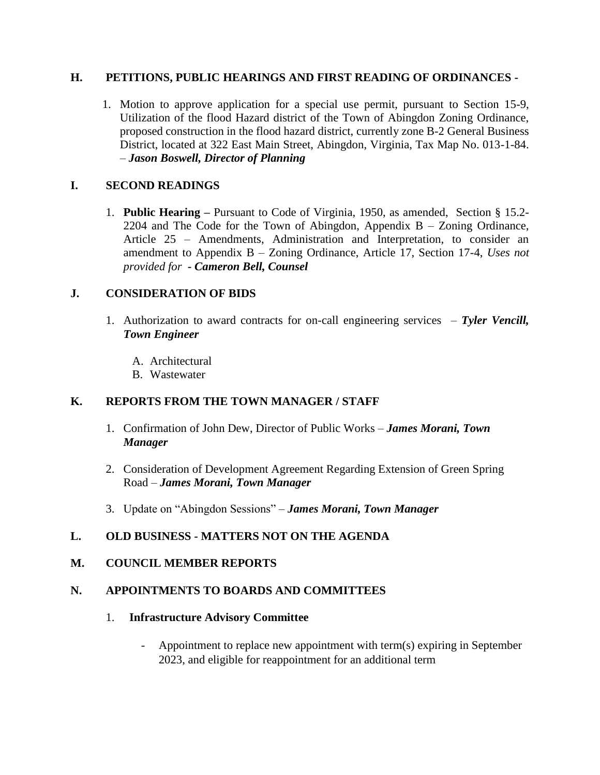#### **H. PETITIONS, PUBLIC HEARINGS AND FIRST READING OF ORDINANCES -**

1. Motion to approve application for a special use permit, pursuant to Section 15-9, Utilization of the flood Hazard district of the Town of Abingdon Zoning Ordinance, proposed construction in the flood hazard district, currently zone B-2 General Business District, located at 322 East Main Street, Abingdon, Virginia, Tax Map No. 013-1-84. – *Jason Boswell, Director of Planning*

### **I. SECOND READINGS**

1. **Public Hearing –** Pursuant to Code of Virginia, 1950, as amended, Section § 15.2- 2204 and The Code for the Town of Abingdon, Appendix  $B - Z$ oning Ordinance, Article 25 – Amendments, Administration and Interpretation, to consider an amendment to Appendix B – Zoning Ordinance, Article 17, Section 17-4, *Uses not provided for* **-** *Cameron Bell, Counsel*

#### **J. CONSIDERATION OF BIDS**

- 1. Authorization to award contracts for on-call engineering services *Tyler Vencill, Town Engineer*
	- A. Architectural
	- B. Wastewater

### **K. REPORTS FROM THE TOWN MANAGER / STAFF**

- 1. Confirmation of John Dew, Director of Public Works *James Morani, Town Manager*
- 2. Consideration of Development Agreement Regarding Extension of Green Spring Road – *James Morani, Town Manager*
- 3. Update on "Abingdon Sessions" *James Morani, Town Manager*

### **L. OLD BUSINESS - MATTERS NOT ON THE AGENDA**

#### **M. COUNCIL MEMBER REPORTS**

#### **N. APPOINTMENTS TO BOARDS AND COMMITTEES**

#### 1. **Infrastructure Advisory Committee**

- Appointment to replace new appointment with term(s) expiring in September 2023, and eligible for reappointment for an additional term